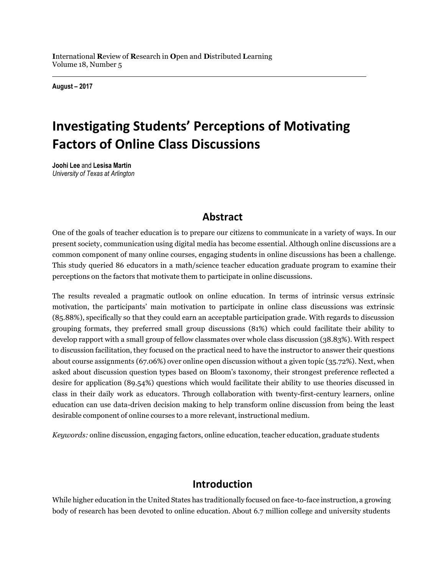**I**nternational **R**eview of **R**esearch in **O**pen and **D**istributed **L**earning Volume 18, Number 5

**August – 2017**

# **Investigating Students' Perceptions of Motivating Factors of Online Class Discussions**

**Joohi Lee** and **Lesisa Martin** *University of Texas at Arlington*

## **Abstract**

One of the goals of teacher education is to prepare our citizens to communicate in a variety of ways. In our present society, communication using digital media has become essential. Although online discussions are a common component of many online courses, engaging students in online discussions has been a challenge. This study queried 86 educators in a math/science teacher education graduate program to examine their perceptions on the factors that motivate them to participate in online discussions.

The results revealed a pragmatic outlook on online education. In terms of intrinsic versus extrinsic motivation, the participants' main motivation to participate in online class discussions was extrinsic (85.88%), specifically so that they could earn an acceptable participation grade. With regards to discussion grouping formats, they preferred small group discussions (81%) which could facilitate their ability to develop rapport with a small group of fellow classmates over whole class discussion (38.83%). With respect to discussion facilitation, they focused on the practical need to have the instructor to answer their questions about course assignments (67.06%) over online open discussion without a given topic (35.72%). Next, when asked about discussion question types based on Bloom's taxonomy, their strongest preference reflected a desire for application (89.54%) questions which would facilitate their ability to use theories discussed in class in their daily work as educators. Through collaboration with twenty-first-century learners, online education can use data-driven decision making to help transform online discussion from being the least desirable component of online courses to a more relevant, instructional medium.

*Keywords:* online discussion, engaging factors, online education, teacher education, graduate students

## **Introduction**

While higher education in the United States has traditionally focused on face-to-face instruction, a growing body of research has been devoted to online education. About 6.7 million college and university students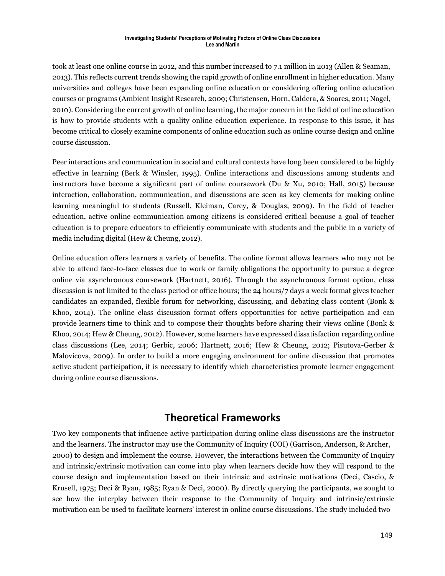took at least one online course in 2012, and this number increased to 7.1 million in 2013 (Allen & Seaman, 2013). This reflects current trends showing the rapid growth of online enrollment in higher education. Many universities and colleges have been expanding online education or considering offering online education courses or programs (Ambient Insight Research, 2009; Christensen, Horn, Caldera, & Soares, 2011; Nagel, 2010). Considering the current growth of online learning, the major concern in the field of online education is how to provide students with a quality online education experience. In response to this issue, it has become critical to closely examine components of online education such as online course design and online course discussion.

Peer interactions and communication in social and cultural contexts have long been considered to be highly effective in learning (Berk & Winsler, 1995). Online interactions and discussions among students and instructors have become a significant part of online coursework (Du & Xu, 2010; Hall, 2015) because interaction, collaboration, communication, and discussions are seen as key elements for making online learning meaningful to students (Russell, Kleiman, Carey, & Douglas, 2009). In the field of teacher education, active online communication among citizens is considered critical because a goal of teacher education is to prepare educators to efficiently communicate with students and the public in a variety of media including digital (Hew & Cheung, 2012).

Online education offers learners a variety of benefits. The online format allows learners who may not be able to attend face-to-face classes due to work or family obligations the opportunity to pursue a degree online via asynchronous coursework (Hartnett, 2016). Through the asynchronous format option, class discussion is not limited to the class period or office hours; the 24 hours/7 days a week format gives teacher candidates an expanded, flexible forum for networking, discussing, and debating class content (Bonk & Khoo, 2014). The online class discussion format offers opportunities for active participation and can provide learners time to think and to compose their thoughts before sharing their views online (Bonk & Khoo, 2014; Hew & Cheung, 2012). However, some learners have expressed dissatisfaction regarding online class discussions (Lee, 2014; Gerbic, 2006; Hartnett, 2016; Hew & Cheung, 2012; Pisutova-Gerber & Malovicova, 2009). In order to build a more engaging environment for online discussion that promotes active student participation, it is necessary to identify which characteristics promote learner engagement during online course discussions.

## **Theoretical Frameworks**

Two key components that influence active participation during online class discussions are the instructor and the learners. The instructor may use the Community of Inquiry (COI) (Garrison, Anderson, & Archer, 2000) to design and implement the course. However, the interactions between the Community of Inquiry and intrinsic/extrinsic motivation can come into play when learners decide how they will respond to the course design and implementation based on their intrinsic and extrinsic motivations (Deci, Cascio, & Krusell, 1975; Deci & Ryan, 1985; Ryan & Deci, 2000). By directly querying the participants, we sought to see how the interplay between their response to the Community of Inquiry and intrinsic/extrinsic motivation can be used to facilitate learners' interest in online course discussions. The study included two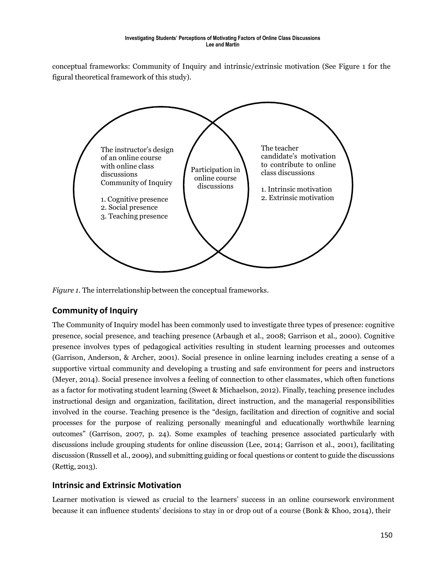conceptual frameworks: Community of Inquiry and intrinsic/extrinsic motivation (See Figure 1 for the figural theoretical framework of this study).



*Figure 1.* The interrelationship between the conceptual frameworks.

### **Community of Inquiry**

The Community of Inquiry model has been commonly used to investigate three types of presence: cognitive presence, social presence, and teaching presence (Arbaugh et al., 2008; Garrison et al., 2000). Cognitive presence involves types of pedagogical activities resulting in student learning processes and outcomes (Garrison, Anderson, & Archer, 2001). Social presence in online learning includes creating a sense of a supportive virtual community and developing a trusting and safe environment for peers and instructors (Meyer, 2014). Social presence involves a feeling of connection to other classmates, which often functions as a factor for motivating student learning (Sweet & Michaelson, 2012). Finally, teaching presence includes instructional design and organization, facilitation, direct instruction, and the managerial responsibilities involved in the course. Teaching presence is the "design, facilitation and direction of cognitive and social processes for the purpose of realizing personally meaningful and educationally worthwhile learning outcomes" (Garrison, 2007, p. 24). Some examples of teaching presence associated particularly with discussions include grouping students for online discussion (Lee, 2014; Garrison et al., 2001), facilitating discussion (Russell et al., 2009), and submitting guiding or focal questions or content to guide the discussions (Rettig, 2013).

### **Intrinsic and Extrinsic Motivation**

Learner motivation is viewed as crucial to the learners' success in an online coursework environment because it can influence students' decisions to stay in or drop out of a course (Bonk & Khoo, 2014), their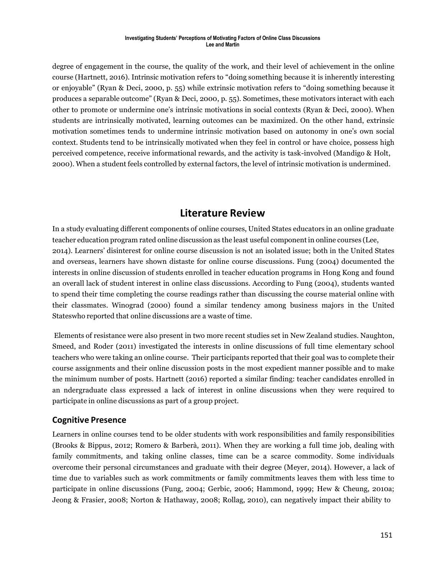degree of engagement in the course, the quality of the work, and their level of achievement in the online course (Hartnett, 2016). Intrinsic motivation refers to "doing something because it is inherently interesting or enjoyable" (Ryan & Deci, 2000, p. 55) while extrinsic motivation refers to "doing something because it produces a separable outcome" (Ryan & Deci, 2000, p. 55). Sometimes, these motivators interact with each other to promote or undermine one's intrinsic motivations in social contexts (Ryan & Deci, 2000). When students are intrinsically motivated, learning outcomes can be maximized. On the other hand, extrinsic motivation sometimes tends to undermine intrinsic motivation based on autonomy in one's own social context. Students tend to be intrinsically motivated when they feel in control or have choice, possess high perceived competence, receive informational rewards, and the activity is task-involved (Mandigo & Holt, 2000). When a student feels controlled by external factors, the level of intrinsic motivation is undermined.

## **Literature Review**

In a study evaluating different components of online courses, United States educators in an online graduate teacher education program rated online discussion as the least useful componentin online courses (Lee, 2014). Learners' disinterest for online course discussion is not an isolated issue; both in the United States and overseas, learners have shown distaste for online course discussions. Fung (2004) documented the interests in online discussion of students enrolled in teacher education programs in Hong Kong and found an overall lack of student interest in online class discussions. According to Fung (2004), students wanted to spend their time completing the course readings rather than discussing the course material online with their classmates. Winograd (2000) found a similar tendency among business majors in the United Stateswho reported that online discussions are a waste of time.

Elements of resistance were also present in two more recent studies set in New Zealand studies. Naughton, Smeed, and Roder (2011) investigated the interests in online discussions of full time elementary school teachers who were taking an online course. Their participants reported that their goal was to complete their course assignments and their online discussion posts in the most expedient manner possible and to make the minimum number of posts. Hartnett (2016) reported a similar finding: teacher candidates enrolled in an ndergraduate class expressed a lack of interest in online discussions when they were required to participate in online discussions as part of a group project.

### **Cognitive Presence**

Learners in online courses tend to be older students with work responsibilities and family responsibilities (Brooks & Bippus, 2012; Romero & Barberà, 2011). When they are working a full time job, dealing with family commitments, and taking online classes, time can be a scarce commodity. Some individuals overcome their personal circumstances and graduate with their degree (Meyer, 2014). However, a lack of time due to variables such as work commitments or family commitments leaves them with less time to participate in online discussions (Fung, 2004; Gerbic, 2006; Hammond, 1999; Hew & Cheung, 2010a; Jeong & Frasier, 2008; Norton & Hathaway, 2008; Rollag, 2010), can negatively impact their ability to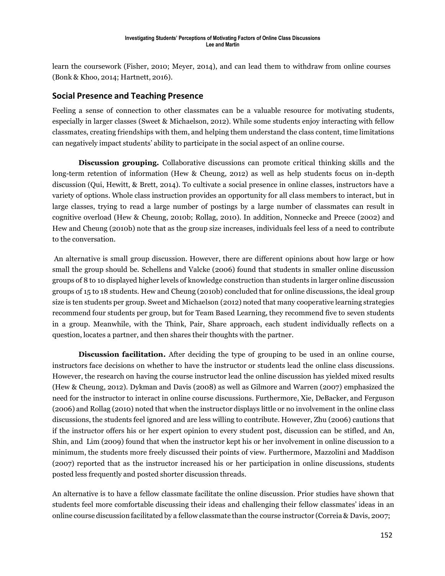learn the coursework (Fisher, 2010; Meyer, 2014), and can lead them to withdraw from online courses (Bonk & Khoo, 2014; Hartnett, 2016).

### **Social Presence and Teaching Presence**

Feeling a sense of connection to other classmates can be a valuable resource for motivating students, especially in larger classes (Sweet & Michaelson, 2012). While some students enjoy interacting with fellow classmates, creating friendships with them, and helping them understand the class content, time limitations can negatively impact students' ability to participate in the social aspect of an online course.

**Discussion grouping.** Collaborative discussions can promote critical thinking skills and the long-term retention of information (Hew & Cheung, 2012) as well as help students focus on in-depth discussion (Qui, Hewitt, & Brett, 2014). To cultivate a social presence in online classes, instructors have a variety of options. Whole class instruction provides an opportunity for all class members to interact, but in large classes, trying to read a large number of postings by a large number of classmates can result in cognitive overload (Hew & Cheung, 2010b; Rollag, 2010). In addition, Nonnecke and Preece (2002) and Hew and Cheung (2010b) note that as the group size increases, individuals feel less of a need to contribute to the conversation.

An alternative is small group discussion. However, there are different opinions about how large or how small the group should be. Schellens and Valcke (2006) found that students in smaller online discussion groups of 8 to 10 displayed higher levels of knowledge construction than students in larger online discussion groups of 15 to 18 students. Hew and Cheung (2010b) concluded that for online discussions, the ideal group size is ten students per group. Sweet and Michaelson (2012) noted that many cooperative learning strategies recommend four students per group, but for Team Based Learning, they recommend five to seven students in a group. Meanwhile, with the Think, Pair, Share approach, each student individually reflects on a question, locates a partner, and then shares their thoughts with the partner.

**Discussion facilitation.** After deciding the type of grouping to be used in an online course, instructors face decisions on whether to have the instructor or students lead the online class discussions. However, the research on having the course instructor lead the online discussion has yielded mixed results (Hew & Cheung, 2012). Dykman and Davis (2008) as well as Gilmore and Warren (2007) emphasized the need for the instructor to interact in online course discussions. Furthermore, Xie, DeBacker, and Ferguson (2006) and Rollag (2010) noted that when the instructor displays little or no involvement in the online class discussions, the students feel ignored and are less willing to contribute. However, Zhu (2006) cautions that if the instructor offers his or her expert opinion to every student post, discussion can be stifled, and An, Shin, and Lim (2009) found that when the instructor kept his or her involvement in online discussion to a minimum, the students more freely discussed their points of view. Furthermore, Mazzolini and Maddison (2007) reported that as the instructor increased his or her participation in online discussions, students posted less frequently and posted shorter discussion threads.

An alternative is to have a fellow classmate facilitate the online discussion. Prior studies have shown that students feel more comfortable discussing their ideas and challenging their fellow classmates' ideas in an online course discussion facilitated by a fellow classmate than the course instructor (Correia & Davis, 2007;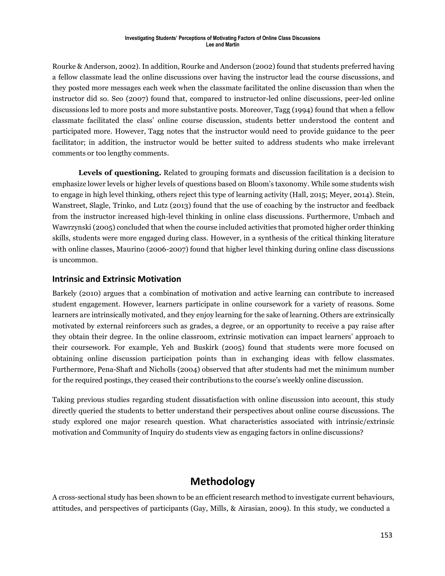Rourke & Anderson, 2002). In addition, Rourke and Anderson (2002) found that students preferred having a fellow classmate lead the online discussions over having the instructor lead the course discussions, and they posted more messages each week when the classmate facilitated the online discussion than when the instructor did so. Seo (2007) found that, compared to instructor-led online discussions, peer-led online discussions led to more posts and more substantive posts. Moreover, Tagg (1994) found that when a fellow classmate facilitated the class' online course discussion, students better understood the content and participated more. However, Tagg notes that the instructor would need to provide guidance to the peer facilitator; in addition, the instructor would be better suited to address students who make irrelevant comments or too lengthy comments.

**Levels of questioning.** Related to grouping formats and discussion facilitation is a decision to emphasize lower levels or higher levels of questions based on Bloom's taxonomy. While some students wish to engage in high level thinking, others reject this type of learning activity (Hall, 2015; Meyer, 2014). Stein, Wanstreet, Slagle, Trinko, and Lutz (2013) found that the use of coaching by the instructor and feedback from the instructor increased high-level thinking in online class discussions. Furthermore, Umbach and Wawrzynski (2005) concluded that when the course included activities that promoted higher order thinking skills, students were more engaged during class. However, in a synthesis of the critical thinking literature with online classes, Maurino (2006-2007) found that higher level thinking during online class discussions is uncommon.

### **Intrinsic and Extrinsic Motivation**

Barkely (2010) argues that a combination of motivation and active learning can contribute to increased student engagement. However, learners participate in online coursework for a variety of reasons. Some learners are intrinsically motivated, and they enjoy learning for the sake of learning. Others are extrinsically motivated by external reinforcers such as grades, a degree, or an opportunity to receive a pay raise after they obtain their degree. In the online classroom, extrinsic motivation can impact learners' approach to their coursework. For example, Yeh and Buskirk (2005) found that students were more focused on obtaining online discussion participation points than in exchanging ideas with fellow classmates. Furthermore, Pena-Shaft and Nicholls (2004) observed that after students had met the minimum number for the required postings, they ceased their contributions to the course's weekly online discussion.

Taking previous studies regarding student dissatisfaction with online discussion into account, this study directly queried the students to better understand their perspectives about online course discussions. The study explored one major research question. What characteristics associated with intrinsic/extrinsic motivation and Community of Inquiry do students view as engaging factors in online discussions?

## **Methodology**

A cross-sectional study has been shown to be an efficient research method to investigate current behaviours, attitudes, and perspectives of participants (Gay, Mills, & Airasian, 2009). In this study, we conducted a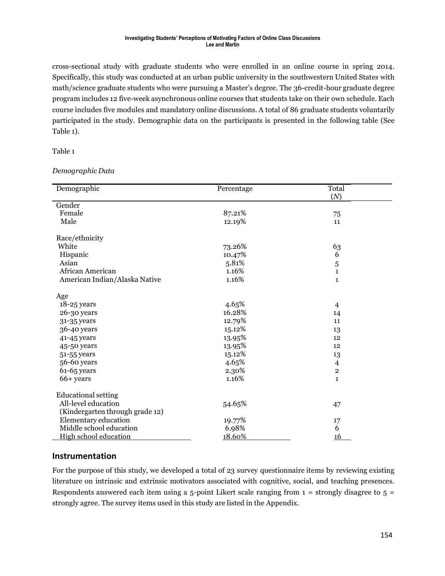cross-sectional study with graduate students who were enrolled in an online course in spring 2014. Specifically, this study was conducted at an urban public university in the southwestern United States with math/science graduate students who were pursuing a Master's degree. The 36-credit-hour graduate degree program includes 12 five-week asynchronous online courses that students take on their own schedule. Each course includes five modules and mandatory online discussions. A total of 86 graduate students voluntarily participated in the study. Demographic data on the participants is presented in the following table (See Table 1).

Table 1

*Demographic Data*

| Demographic                     | Percentage | Total          |
|---------------------------------|------------|----------------|
|                                 |            | (N)            |
| Gender                          |            |                |
| Female                          | 87.21%     | 75             |
| Male                            | 12.19%     | 11             |
| Race/ethnicity                  |            |                |
| White                           | 73.26%     | 63             |
| Hispanic                        | 10.47%     | 6              |
| Asian                           | 5.81%      | 5              |
| African American                | 1.16%      | $\mathbf{1}$   |
| American Indian/Alaska Native   | 1.16%      | $\mathbf{1}$   |
| Age                             |            |                |
| 18-25 years                     | 4.65%      | $\overline{4}$ |
| 26-30 years                     | 16.28%     | 14             |
| 31-35 years                     | 12.79%     | 11             |
| 36-40 years                     | 15.12%     | 13             |
| 41-45 years                     | 13.95%     | 12             |
| 45-50 years                     | 13.95%     | 12             |
| 51-55 years                     | 15.12%     | 13             |
| 56-60 years                     | 4.65%      | 4              |
| $61-65$ years                   | 2.30%      | $\overline{2}$ |
| $66+years$                      | 1.16%      | $\mathbf{1}$   |
| <b>Educational setting</b>      |            |                |
| All-level education             | 54.65%     | 47             |
| (Kindergarten through grade 12) |            |                |
| Elementary education            | 19.77%     | 17             |
| Middle school education         | 6.98%      | 6              |
| High school education           | 18.60%     | 16             |

#### **Instrumentation**

For the purpose of this study, we developed a total of 23 survey questionnaire items by reviewing existing literature on intrinsic and extrinsic motivators associated with cognitive, social, and teaching presences. Respondents answered each item using a 5-point Likert scale ranging from  $1 =$  strongly disagree to  $5 =$ strongly agree. The survey items used in this study are listed in the Appendix.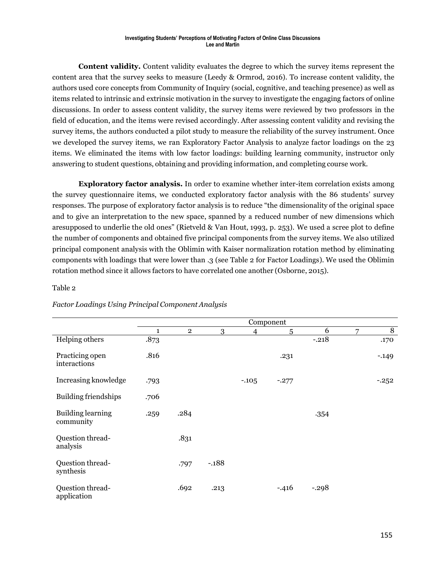**Content validity.** Content validity evaluates the degree to which the survey items represent the content area that the survey seeks to measure (Leedy & Ormrod, 2016). To increase content validity, the authors used core concepts from Community of Inquiry (social, cognitive, and teaching presence) as well as items related to intrinsic and extrinsic motivation in the survey to investigate the engaging factors of online discussions. In order to assess content validity, the survey items were reviewed by two professors in the field of education, and the items were revised accordingly. After assessing content validity and revising the survey items, the authors conducted a pilot study to measure the reliability of the survey instrument. Once we developed the survey items, we ran Exploratory Factor Analysis to analyze factor loadings on the 23 items. We eliminated the items with low factor loadings: building learning community, instructor only answering to student questions, obtaining and providing information, and completing course work.

**Exploratory factor analysis.** In order to examine whether inter-item correlation exists among the survey questionnaire items, we conducted exploratory factor analysis with the 86 students' survey responses. The purpose of exploratory factor analysis is to reduce "the dimensionality of the original space and to give an interpretation to the new space, spanned by a reduced number of new dimensions which aresupposed to underlie the old ones" (Rietveld & Van Hout, 1993, p. 253). We used a scree plot to define the number of components and obtained five principal components from the survey items. We also utilized principal component analysis with the Oblimin with Kaiser normalization rotation method by eliminating components with loadings that were lower than .3 (see Table 2 for Factor Loadings). We used the Oblimin rotation method since it allows factors to have correlated one another (Osborne, 2015).

#### Table 2

|                                 | Component    |                |         |                |         |         |   |         |
|---------------------------------|--------------|----------------|---------|----------------|---------|---------|---|---------|
|                                 | $\mathbf{1}$ | $\overline{2}$ | 3       | $\overline{4}$ | 5       | 6       | 7 | 8       |
| Helping others                  | .873         |                |         |                |         | $-.218$ |   | .170    |
| Practicing open<br>interactions | .816         |                |         |                | .231    |         |   | $-.149$ |
| Increasing knowledge            | .793         |                |         | $-105$         | $-.277$ |         |   | $-252$  |
| <b>Building friendships</b>     | .706         |                |         |                |         |         |   |         |
| Building learning<br>community  | .259         | .284           |         |                |         | $-354$  |   |         |
| Question thread-<br>analysis    |              | .831           |         |                |         |         |   |         |
| Question thread-<br>synthesis   |              | .797           | $-.188$ |                |         |         |   |         |
| Question thread-<br>application |              | .692           | .213    |                | $-.416$ | $-.298$ |   |         |

#### *Factor Loadings Using Principal Component Analysis*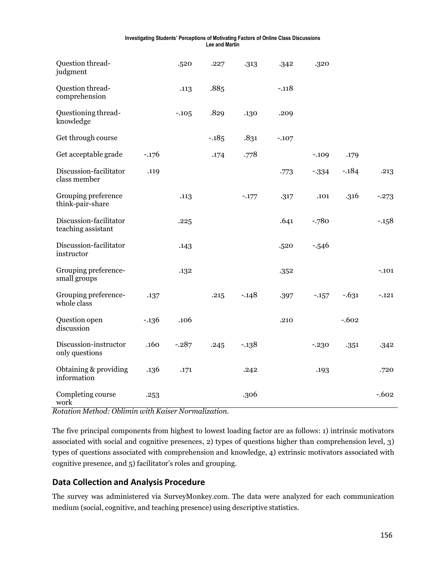| Question thread-<br>judgment                 |         | .520    | .227   | .313    | .342    | .320    |         |          |
|----------------------------------------------|---------|---------|--------|---------|---------|---------|---------|----------|
| Question thread-<br>comprehension            |         | .113    | .885   |         | $-.118$ |         |         |          |
| Questioning thread-<br>knowledge             |         | $-.105$ | .829   | .130    | .209    |         |         |          |
| Get through course                           |         |         | $-185$ | .831    | $-.107$ |         |         |          |
| Get acceptable grade                         | $-.176$ |         | .174   | .778    |         | $-.109$ | .179    |          |
| Discussion-facilitator<br>class member       | .119    |         |        |         | .773    | $-334$  | $-184$  | .213     |
| Grouping preference<br>think-pair-share      |         | .113    |        | $-.177$ | .317    | .101    | .316    | $-.273$  |
| Discussion-facilitator<br>teaching assistant |         | .225    |        |         | .641    | $-.780$ |         | $-.158$  |
| Discussion-facilitator<br>instructor         |         | .143    |        |         | .520    | $-546$  |         |          |
| Grouping preference-<br>small groups         |         | .132    |        |         | .352    |         |         | $-.101$  |
| Grouping preference-<br>whole class          | .137    |         | .215   | $-.148$ | .397    | $-157$  | $-631$  | $-.121$  |
| Question open<br>discussion                  | $-136$  | .106    |        |         | .210    |         | $-.602$ |          |
| Discussion-instructor<br>only questions      | .160    | $-.287$ | .245   | $-.138$ |         | $-.230$ | .351    | .342     |
| Obtaining & providing<br>information         | .136    | .171    |        | .242    |         | .193    |         | .720     |
| Completing course<br>work                    | .253    |         |        | .306    |         |         |         | $-0.602$ |

*Rotation Method: Oblimin with Kaiser Normalization.*

The five principal components from highest to lowest loading factor are as follows: 1) intrinsic motivators associated with social and cognitive presences, 2) types of questions higher than comprehension level, 3) types of questions associated with comprehension and knowledge, 4) extrinsic motivators associated with cognitive presence, and 5) facilitator's roles and grouping.

### **Data Collection and Analysis Procedure**

The survey was administered via SurveyMonkey.com. The data were analyzed for each communication medium (social, cognitive, and teaching presence) using descriptive statistics.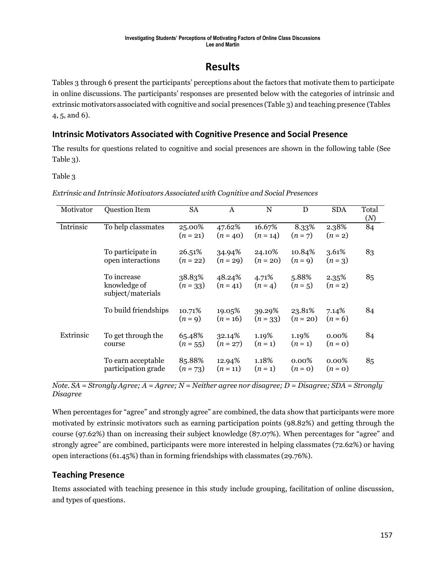## **Results**

Tables 3 through 6 present the participants' perceptions about the factors that motivate them to participate in online discussions. The participants' responses are presented below with the categories of intrinsic and extrinsic motivators associated with cognitive and social presences (Table 3) and teaching presence (Tables 4, 5, and 6).

## **Intrinsic Motivators Associated with Cognitive Presence and Social Presence**

The results for questions related to cognitive and social presences are shown in the following table (See Table 3).

Table 3

| Motivator | Question Item                                    | <b>SA</b>            | A                    | N                    | D                    | <b>SDA</b>            | Total<br>(N) |
|-----------|--------------------------------------------------|----------------------|----------------------|----------------------|----------------------|-----------------------|--------------|
| Intrinsic | To help classmates                               | 25.00%<br>$(n = 21)$ | 47.62%<br>$(n = 40)$ | 16.67%<br>$(n = 14)$ | 8.33%<br>$(n=7)$     | 2.38%<br>$(n = 2)$    | 84           |
|           | To participate in<br>open interactions           | 26.51%<br>$(n = 22)$ | 34.94%<br>$(n = 29)$ | 24.10%<br>$(n = 20)$ | 10.84%<br>$(n=9)$    | 3.61%<br>$(n=3)$      | 83           |
|           | To increase<br>knowledge of<br>subject/materials | 38.83%<br>$(n = 33)$ | 48.24%<br>$(n = 41)$ | 4.71%<br>$(n = 4)$   | 5.88%<br>$(n=5)$     | $2.35\%$<br>$(n = 2)$ | 85           |
|           | To build friendships                             | 10.71%<br>$(n=9)$    | 19.05%<br>$(n = 16)$ | 39.29%<br>$(n=33)$   | 23.81%<br>$(n = 20)$ | 7.14%<br>$(n = 6)$    | 84           |
| Extrinsic | To get through the<br>course                     | 65.48%<br>$(n = 55)$ | 32.14%<br>$(n = 27)$ | 1.19%<br>$(n=1)$     | 1.19%<br>$(n=1)$     | $0.00\%$<br>$(n=0)$   | 84           |
|           | To earn acceptable<br>participation grade        | 85.88%<br>$(n = 73)$ | 12.94%<br>$(n = 11)$ | 1.18%<br>$(n=1)$     | $0.00\%$<br>$(n=0)$  | $0.00\%$<br>$(n=0)$   | 85           |

*Extrinsic and Intrinsic Motivators Associated with Cognitive and Social Presences*

*Note. SA = Strongly Agree; A = Agree; N = Neither agree nor disagree; D = Disagree; SDA = Strongly Disagree*

When percentages for "agree" and strongly agree" are combined, the data show that participants were more motivated by extrinsic motivators such as earning participation points (98.82%) and getting through the course (97.62%) than on increasing their subject knowledge (87.07%). When percentages for "agree" and strongly agree" are combined, participants were more interested in helping classmates (72.62%) or having open interactions (61.45%) than in forming friendships with classmates (29.76%).

## **Teaching Presence**

Items associated with teaching presence in this study include grouping, facilitation of online discussion, and types of questions.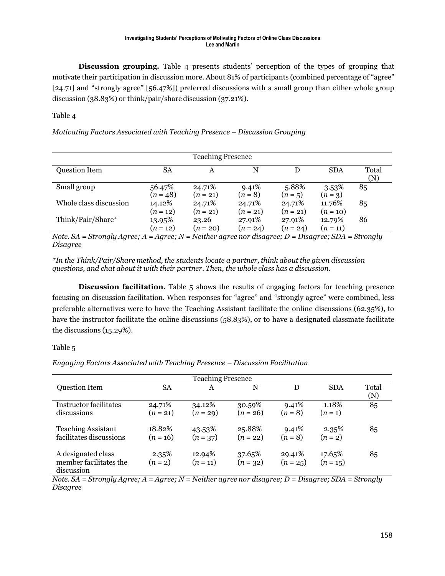**Discussion grouping.** Table 4 presents students' perception of the types of grouping that motivate their participation in discussion more. About 81% of participants (combined percentage of "agree" [24.71] and "strongly agree" [56.47%]) preferred discussions with a small group than either whole group discussion (38.83%) or think/pair/share discussion (37.21%).

#### Table 4

*Motivating Factors Associated with Teaching Presence – Discussion Grouping*

| <b>Teaching Presence</b> |                      |                      |                      |                      |                      |              |  |  |
|--------------------------|----------------------|----------------------|----------------------|----------------------|----------------------|--------------|--|--|
| <b>Question Item</b>     | <b>SA</b>            | A                    | N                    | D                    | <b>SDA</b>           | Total<br>(N) |  |  |
| Small group              | 56.47%<br>$(n = 48)$ | 24.71%<br>$(n = 21)$ | 9.41%<br>$(n = 8)$   | 5.88%<br>$(n=5)$     | $3.53\%$<br>$(n=3)$  | 85           |  |  |
| Whole class discussion   | 14.12%<br>$(n = 12)$ | 24.71%<br>$(n = 21)$ | 24.71%<br>$(n = 21)$ | 24.71%<br>$(n = 21)$ | 11.76%<br>$(n = 10)$ | 85           |  |  |
| Think/Pair/Share*        | 13.95%<br>$(n = 12)$ | 23.26<br>$(n = 20)$  | 27.91%<br>$(n = 24)$ | 27.91%<br>$(n = 24)$ | 12.79%<br>$(n = 11)$ | 86           |  |  |

*Note. SA = Strongly Agree; A = Agree; N = Neither agree nor disagree; D = Disagree; SDA = Strongly Disagree*

*\*In the Think/Pair/Share method, the students locate a partner, think about the given discussion questions, and chat about it with their partner. Then, the whole class has a discussion.*

**Discussion facilitation.** Table 5 shows the results of engaging factors for teaching presence focusing on discussion facilitation. When responses for "agree" and "strongly agree" were combined, less preferable alternatives were to have the Teaching Assistant facilitate the online discussions (62.35%), to have the instructor facilitate the online discussions (58.83%), or to have a designated classmate facilitate the discussions (15.29%).

#### Table 5

*Engaging Factors Associated with Teaching Presence – Discussion Facilitation*

| <b>Teaching Presence</b>                                   |                      |                      |                      |                      |                      |              |  |  |
|------------------------------------------------------------|----------------------|----------------------|----------------------|----------------------|----------------------|--------------|--|--|
| <b>Question Item</b>                                       | <b>SA</b>            | Α                    | N                    | D                    | <b>SDA</b>           | Total<br>(N) |  |  |
| <b>Instructor facilitates</b><br>discussions               | 24.71%<br>$(n = 21)$ | 34.12%<br>$(n = 29)$ | 30.59%<br>$(n = 26)$ | 9.41%<br>$(n = 8)$   | 1.18%<br>$(n=1)$     | 85           |  |  |
| <b>Teaching Assistant</b><br>facilitates discussions       | 18.82%<br>$(n = 16)$ | 43.53%<br>$(n=37)$   | 25.88%<br>$(n = 22)$ | 9.41%<br>$(n = 8)$   | 2.35%<br>$(n = 2)$   | 85           |  |  |
| A designated class<br>member facilitates the<br>discussion | 2.35%<br>$(n=2)$     | 12.94%<br>$(n = 11)$ | 37.65%<br>$(n=32)$   | 29.41%<br>$(n = 25)$ | 17.65%<br>$(n = 15)$ | 85           |  |  |

*Note. SA = Strongly Agree; A = Agree; N = Neither agree nor disagree; D = Disagree; SDA = Strongly Disagree*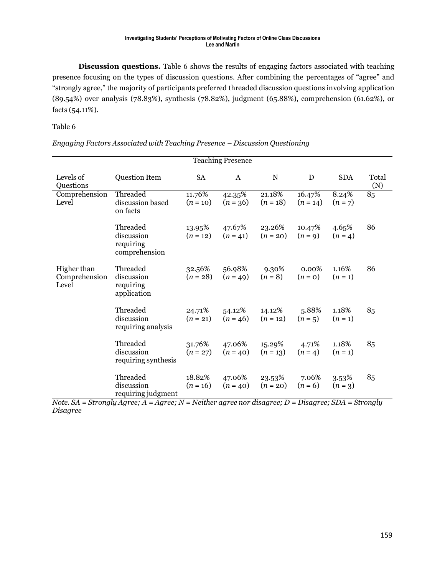**Discussion questions.** Table 6 shows the results of engaging factors associated with teaching presence focusing on the types of discussion questions. After combining the percentages of "agree" and "strongly agree," the majority of participants preferred threaded discussion questions involving application (89.54%) over analysis (78.83%), synthesis (78.82%), judgment (65.88%), comprehension (61.62%), or facts (54.11%).

#### Table 6

| <b>Teaching Presence</b>              |                                                      |                      |                      |                      |                      |                    |              |  |
|---------------------------------------|------------------------------------------------------|----------------------|----------------------|----------------------|----------------------|--------------------|--------------|--|
| Levels of<br>Questions                | Question Item                                        | <b>SA</b>            | A                    | $\mathbf N$          | ${\bf D}$            | <b>SDA</b>         | Total<br>(N) |  |
| Comprehension<br>Level                | Threaded<br>discussion based<br>on facts             | 11.76%<br>$(n = 10)$ | 42.35%<br>$(n = 36)$ | 21.18%<br>$(n = 18)$ | 16.47%<br>$(n = 14)$ | 8.24%<br>$(n = 7)$ | 85           |  |
|                                       | Threaded<br>discussion<br>requiring<br>comprehension | 13.95%<br>$(n = 12)$ | 47.67%<br>$(n = 41)$ | 23.26%<br>$(n = 20)$ | 10.47%<br>$(n=9)$    | 4.65%<br>$(n = 4)$ | 86           |  |
| Higher than<br>Comprehension<br>Level | Threaded<br>discussion<br>requiring<br>application   | 32.56%<br>$(n = 28)$ | 56.98%<br>$(n = 49)$ | 9.30%<br>$(n = 8)$   | $0.00\%$<br>$(n=0)$  | 1.16%<br>$(n=1)$   | 86           |  |
|                                       | Threaded<br>discussion<br>requiring analysis         | 24.71%<br>$(n = 21)$ | 54.12%<br>$(n = 46)$ | 14.12%<br>$(n = 12)$ | 5.88%<br>$(n = 5)$   | 1.18%<br>$(n=1)$   | 85           |  |
|                                       | Threaded<br>discussion<br>requiring synthesis        | 31.76%<br>$(n = 27)$ | 47.06%<br>$(n = 40)$ | 15.29%<br>$(n = 13)$ | 4.71%<br>$(n = 4)$   | 1.18%<br>$(n=1)$   | 85           |  |
|                                       | Threaded<br>discussion<br>requiring judgment         | 18.82%<br>$(n = 16)$ | 47.06%<br>$(n = 40)$ | 23.53%<br>$(n = 20)$ | 7.06%<br>$(n = 6)$   | 3.53%<br>$(n = 3)$ | 85           |  |

*Engaging Factors Associated with Teaching Presence – Discussion Questioning*

*Note. SA = Strongly Agree; A = Agree; N = Neither agree nor disagree; D = Disagree; SDA = Strongly Disagree*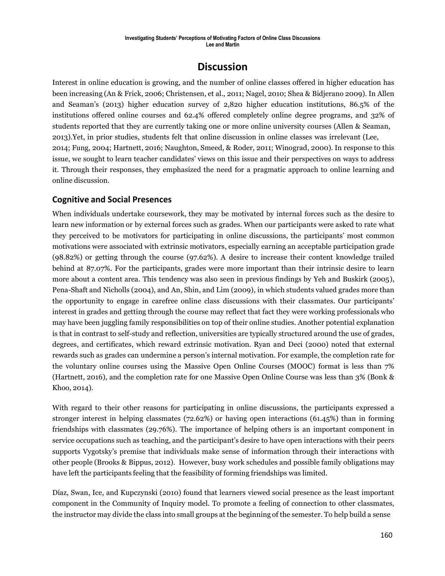## **Discussion**

Interest in online education is growing, and the number of online classes offered in higher education has been increasing (An & Frick, 2006; Christensen, et al., 2011; Nagel, 2010; Shea & Bidjerano 2009). In Allen and Seaman's (2013) higher education survey of 2,820 higher education institutions, 86.5% of the institutions offered online courses and 62.4% offered completely online degree programs, and 32% of students reported that they are currently taking one or more online university courses (Allen & Seaman, 2013).Yet, in prior studies, students felt that online discussion in online classes was irrelevant (Lee, 2014; Fung, 2004; Hartnett, 2016; Naughton, Smeed, & Roder, 2011; Winograd, 2000). In response to this issue, we sought to learn teacher candidates' views on this issue and their perspectives on ways to address it. Through their responses, they emphasized the need for a pragmatic approach to online learning and online discussion.

### **Cognitive and Social Presences**

When individuals undertake coursework, they may be motivated by internal forces such as the desire to learn new information or by external forces such as grades. When our participants were asked to rate what they perceived to be motivators for participating in online discussions, the participants' most common motivations were associated with extrinsic motivators, especially earning an acceptable participation grade (98.82%) or getting through the course (97.62%). A desire to increase their content knowledge trailed behind at 87.07%. For the participants, grades were more important than their intrinsic desire to learn more about a content area. This tendency was also seen in previous findings by Yeh and Buskirk (2005), Pena-Shaft and Nicholls (2004), and An, Shin, and Lim (2009), in which students valued grades more than the opportunity to engage in carefree online class discussions with their classmates. Our participants' interest in grades and getting through the course may reflect that fact they were working professionals who may have been juggling family responsibilities on top of their online studies. Another potential explanation is that in contrast to self-study and reflection, universities are typically structured around the use of grades, degrees, and certificates, which reward extrinsic motivation. Ryan and Deci (2000) noted that external rewards such as grades can undermine a person's internal motivation. For example, the completion rate for the voluntary online courses using the Massive Open Online Courses (MOOC) format is less than 7% (Hartnett, 2016), and the completion rate for one Massive Open Online Course was less than 3% (Bonk & Khoo, 2014).

With regard to their other reasons for participating in online discussions, the participants expressed a stronger interest in helping classmates (72.62%) or having open interactions (61.45%) than in forming friendships with classmates (29.76%). The importance of helping others is an important component in service occupations such as teaching, and the participant's desire to have open interactions with their peers supports Vygotsky's premise that individuals make sense of information through their interactions with other people (Brooks & Bippus, 2012). However, busy work schedules and possible family obligations may have left the participants feeling that the feasibility of forming friendships was limited.

Díaz, Swan, Ice, and Kupczynski (2010) found that learners viewed social presence as the least important component in the Community of Inquiry model. To promote a feeling of connection to other classmates, the instructor may divide the class into small groups at the beginning of the semester. To help build a sense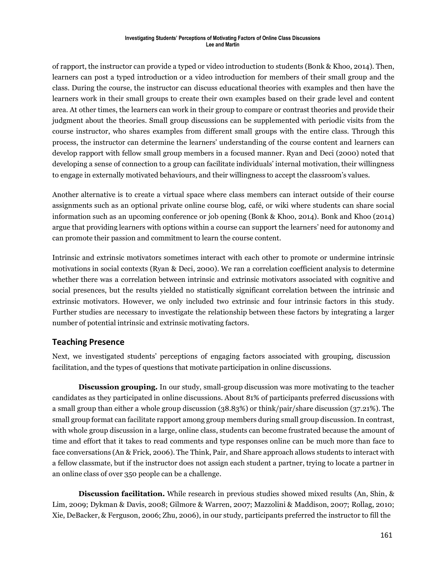of rapport, the instructor can provide a typed or video introduction to students (Bonk & Khoo, 2014). Then, learners can post a typed introduction or a video introduction for members of their small group and the class. During the course, the instructor can discuss educational theories with examples and then have the learners work in their small groups to create their own examples based on their grade level and content area. At other times, the learners can work in their group to compare or contrast theories and provide their judgment about the theories. Small group discussions can be supplemented with periodic visits from the course instructor, who shares examples from different small groups with the entire class. Through this process, the instructor can determine the learners' understanding of the course content and learners can develop rapport with fellow small group members in a focused manner. Ryan and Deci (2000) noted that developing a sense of connection to a group can facilitate individuals' internal motivation, their willingness to engage in externally motivated behaviours, and their willingness to accept the classroom's values.

Another alternative is to create a virtual space where class members can interact outside of their course assignments such as an optional private online course blog, café, or wiki where students can share social information such as an upcoming conference or job opening (Bonk & Khoo, 2014). Bonk and Khoo (2014) argue that providing learners with options within a course can support the learners' need for autonomy and can promote their passion and commitment to learn the course content.

Intrinsic and extrinsic motivators sometimes interact with each other to promote or undermine intrinsic motivations in social contexts (Ryan & Deci, 2000). We ran a correlation coefficient analysis to determine whether there was a correlation between intrinsic and extrinsic motivators associated with cognitive and social presences, but the results yielded no statistically significant correlation between the intrinsic and extrinsic motivators. However, we only included two extrinsic and four intrinsic factors in this study. Further studies are necessary to investigate the relationship between these factors by integrating a larger number of potential intrinsic and extrinsic motivating factors.

### **Teaching Presence**

Next, we investigated students' perceptions of engaging factors associated with grouping, discussion facilitation, and the types of questions that motivate participation in online discussions.

**Discussion grouping.** In our study, small-group discussion was more motivating to the teacher candidates as they participated in online discussions. About 81% of participants preferred discussions with a small group than either a whole group discussion (38.83%) or think/pair/share discussion (37.21%). The small group format can facilitate rapport among group members during small group discussion. In contrast, with whole group discussion in a large, online class, students can become frustrated because the amount of time and effort that it takes to read comments and type responses online can be much more than face to face conversations (An & Frick, 2006). The Think, Pair, and Share approach allows students to interact with a fellow classmate, but if the instructor does not assign each student a partner, trying to locate a partner in an online class of over 350 people can be a challenge.

**Discussion facilitation.** While research in previous studies showed mixed results (An, Shin, & Lim, 2009; Dykman & Davis, 2008; Gilmore & Warren, 2007; Mazzolini & Maddison, 2007; Rollag, 2010; Xie, DeBacker, & Ferguson, 2006; Zhu, 2006), in our study, participants preferred the instructor to fill the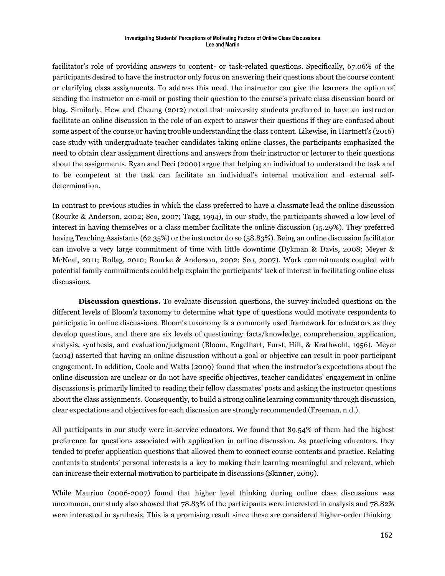facilitator's role of providing answers to content- or task-related questions. Specifically, 67.06% of the participants desired to have the instructor only focus on answering their questions about the course content or clarifying class assignments. To address this need, the instructor can give the learners the option of sending the instructor an e-mail or posting their question to the course's private class discussion board or blog. Similarly, Hew and Cheung (2012) noted that university students preferred to have an instructor facilitate an online discussion in the role of an expert to answer their questions if they are confused about some aspect of the course or having trouble understanding the class content. Likewise, in Hartnett's (2016) case study with undergraduate teacher candidates taking online classes, the participants emphasized the need to obtain clear assignment directions and answers from their instructor or lecturer to their questions about the assignments. Ryan and Deci (2000) argue that helping an individual to understand the task and to be competent at the task can facilitate an individual's internal motivation and external selfdetermination.

In contrast to previous studies in which the class preferred to have a classmate lead the online discussion (Rourke & Anderson, 2002; Seo, 2007; Tagg, 1994), in our study, the participants showed a low level of interest in having themselves or a class member facilitate the online discussion (15.29%). They preferred having Teaching Assistants (62.35%) or the instructor do so (58.83%). Being an online discussion facilitator can involve a very large commitment of time with little downtime (Dykman & Davis, 2008; Meyer & McNeal, 2011; Rollag, 2010; Rourke & Anderson, 2002; Seo, 2007). Work commitments coupled with potential family commitments could help explain the participants' lack of interest in facilitating online class discussions.

**Discussion questions.** To evaluate discussion questions, the survey included questions on the different levels of Bloom's taxonomy to determine what type of questions would motivate respondents to participate in online discussions. Bloom's taxonomy is a commonly used framework for educators as they develop questions, and there are six levels of questioning: facts/knowledge, comprehension, application, analysis, synthesis, and evaluation/judgment (Bloom, Engelhart, Furst, Hill, & Krathwohl, 1956). Meyer (2014) asserted that having an online discussion without a goal or objective can result in poor participant engagement. In addition, Coole and Watts (2009) found that when the instructor's expectations about the online discussion are unclear or do not have specific objectives, teacher candidates' engagement in online discussions is primarily limited to reading their fellow classmates' posts and asking the instructor questions about the class assignments. Consequently, to build a strong online learning community through discussion, clear expectations and objectives for each discussion are strongly recommended (Freeman, n.d.).

All participants in our study were in-service educators. We found that 89.54% of them had the highest preference for questions associated with application in online discussion. As practicing educators, they tended to prefer application questions that allowed them to connect course contents and practice. Relating contents to students' personal interests is a key to making their learning meaningful and relevant, which can increase their external motivation to participate in discussions (Skinner, 2009).

While Maurino (2006-2007) found that higher level thinking during online class discussions was uncommon, our study also showed that 78.83% of the participants were interested in analysis and 78.82% were interested in synthesis. This is a promising result since these are considered higher-order thinking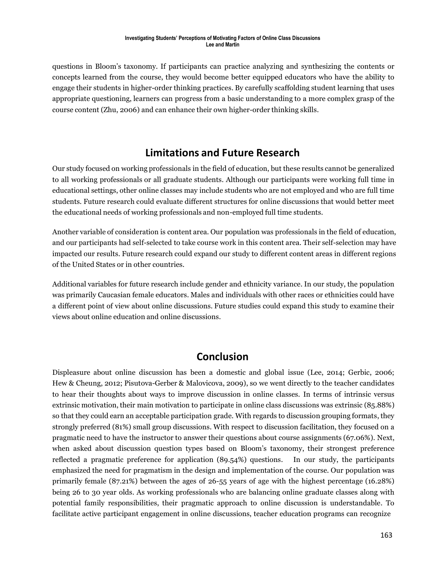questions in Bloom's taxonomy. If participants can practice analyzing and synthesizing the contents or concepts learned from the course, they would become better equipped educators who have the ability to engage their students in higher-order thinking practices. By carefully scaffolding student learning that uses appropriate questioning, learners can progress from a basic understanding to a more complex grasp of the course content (Zhu, 2006) and can enhance their own higher-order thinking skills.

## **Limitations and Future Research**

Our study focused on working professionals in the field of education, but these results cannot be generalized to all working professionals or all graduate students. Although our participants were working full time in educational settings, other online classes may include students who are not employed and who are full time students. Future research could evaluate different structures for online discussions that would better meet the educational needs of working professionals and non-employed full time students.

Another variable of consideration is content area. Our population was professionals in the field of education, and our participants had self-selected to take course work in this content area. Their self-selection may have impacted our results. Future research could expand our study to different content areas in different regions of the United States or in other countries.

Additional variables for future research include gender and ethnicity variance. In our study, the population was primarily Caucasian female educators. Males and individuals with other races or ethnicities could have a different point of view about online discussions. Future studies could expand this study to examine their views about online education and online discussions.

## **Conclusion**

Displeasure about online discussion has been a domestic and global issue (Lee, 2014; Gerbic, 2006; Hew & Cheung, 2012; Pisutova-Gerber & Malovicova, 2009), so we went directly to the teacher candidates to hear their thoughts about ways to improve discussion in online classes. In terms of intrinsic versus extrinsic motivation, their main motivation to participate in online class discussions was extrinsic (85.88%) so that they could earn an acceptable participation grade. With regards to discussion grouping formats, they strongly preferred (81%) small group discussions. With respect to discussion facilitation, they focused on a pragmatic need to have the instructor to answer their questions about course assignments (67.06%). Next, when asked about discussion question types based on Bloom's taxonomy, their strongest preference reflected a pragmatic preference for application (89.54%) questions. In our study, the participants emphasized the need for pragmatism in the design and implementation of the course. Our population was primarily female (87.21%) between the ages of 26-55 years of age with the highest percentage (16.28%) being 26 to 30 year olds. As working professionals who are balancing online graduate classes along with potential family responsibilities, their pragmatic approach to online discussion is understandable. To facilitate active participant engagement in online discussions, teacher education programs can recognize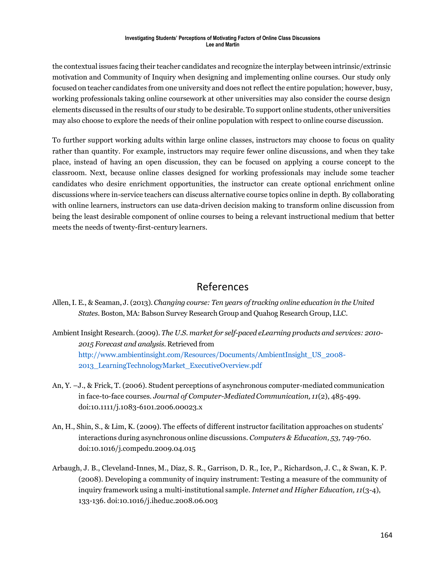the contextual issues facing their teacher candidates and recognize the interplay between intrinsic/extrinsic motivation and Community of Inquiry when designing and implementing online courses. Our study only focused on teacher candidates from one university and does not reflect the entire population; however, busy, working professionals taking online coursework at other universities may also consider the course design elements discussed in the results of our study to be desirable. To support online students, other universities may also choose to explore the needs of their online population with respect to online course discussion.

To further support working adults within large online classes, instructors may choose to focus on quality rather than quantity. For example, instructors may require fewer online discussions, and when they take place, instead of having an open discussion, they can be focused on applying a course concept to the classroom. Next, because online classes designed for working professionals may include some teacher candidates who desire enrichment opportunities, the instructor can create optional enrichment online discussions where in-service teachers can discuss alternative course topics online in depth. By collaborating with online learners, instructors can use data-driven decision making to transform online discussion from being the least desirable component of online courses to being a relevant instructional medium that better meets the needs of twenty-first-century learners.

## References

- Allen,I. E., & Seaman, J. (2013). *Changing course: Ten years of tracking online education in the United States.* Boston, MA: Babson Survey Research Group and Quahog Research Group, LLC.
- Ambient Insight Research.(2009). *The U.S. market for self-paced eLearning products and services: 2010- 2015 Forecast and analysis.* Retrieved from [http://www.ambientinsight.com/Resources/Documents/AmbientInsight\\_US\\_2008-](http://www.ambientinsight.com/Resources/Documents/AmbientInsight_US_2008-2013_LearningTechnologyMarket_ExecutiveOverview.pdf) [2013\\_LearningTechnologyMarket\\_ExecutiveOverview.pdf](http://www.ambientinsight.com/Resources/Documents/AmbientInsight_US_2008-2013_LearningTechnologyMarket_ExecutiveOverview.pdf)
- An, Y. –J., & Frick, T. (2006). Student perceptions of asynchronous computer-mediated communication in face-to-face courses. *Journal of Computer-MediatedCommunication, 11*(2), 485-499. doi:10.1111/j.1083-6101.2006.00023.x
- An, H., Shin, S., & Lim, K. (2009). The effects of different instructor facilitation approaches on students' interactions during asynchronous online discussions. *Computers & Education, 53,* 749-760. doi:10.1016/j.compedu.2009.04.015
- Arbaugh, J. B., Cleveland-Innes, M., Diaz, S. R., Garrison, D. R., Ice, P., Richardson, J. C., & Swan, K. P. (2008). Developing a community of inquiry instrument: Testing a measure of the community of inquiry framework using a multi-institutional sample. *Internet and Higher Education, 11*(3-4), 133-136. doi:10.1016/j.iheduc.2008.06.003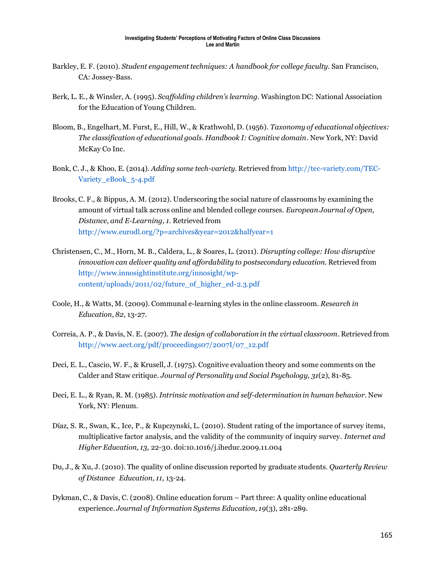- Barkley, E. F. (2010). *Student engagement techniques: A handbook for college faculty.* San Francisco, CA: Jossey-Bass.
- Berk, L. E., & Winsler, A. (1995). *Scaffolding children's learning.* Washington DC: National Association for the Education of Young Children.
- Bloom, B., Engelhart, M. Furst, E., Hill, W., & Krathwohl, D. (1956). *Taxonomy of educational objectives: The classification of educational goals. Handbook I: Cognitive domain*. New York, NY: David McKay Co Inc.
- Bonk, C. J., & Khoo, E. (2014). *Adding some tech-variety*. Retrieved from [http://tec-variety.com/TEC-](http://tec-variety.com/TEC-Variety_eBook_5-4.pdf)[Variety\\_eBook\\_5-4.pdf](http://tec-variety.com/TEC-Variety_eBook_5-4.pdf)
- Brooks, C. F., & Bippus, A. M. (2012). Underscoring the social nature of classrooms by examining the amount of virtual talk across online and blended college courses. *European Journal of Open, Distance, and E-Learning, 1.* Retrieved from <http://www.eurodl.org/?p=archives&year=2012&halfyear=1>
- Christensen, C., M., Horn, M. B., Caldera, L., & Soares, L. (2011). *Disrupting college: How disruptive innovation can deliver quality and affordability to postsecondary education.* Retrieved from [http://www.innosightinstitute.org/innosight/wp](http://www.innosightinstitute.org/innosight/wp-content/uploads/2011/02/future_of_higher_ed-2.3.pdf)[content/uploads/2011/02/future\\_of\\_higher\\_ed-2.3.pdf](http://www.innosightinstitute.org/innosight/wp-content/uploads/2011/02/future_of_higher_ed-2.3.pdf)
- Coole, H., & Watts, M. (2009). Communal e-learning styles in the online classroom. *Research in Education, 82,* 13-27.
- Correia, A. P., & Davis, N. E. (2007). *The design of collaboration in the virtual classroom*. Retrieved from [http://www.aect.org/pdf/proceedings07/2007I/07\\_12.pdf](http://www.aect.org/pdf/proceedings07/2007I/07_12.pdf)
- Deci, E. L., Cascio, W. F., & Krusell, J. (1975). Cognitive evaluation theory and some comments on the Calder and Staw critique. *Journal of Personality and Social Psychology, 31*(2), 81-85.
- Deci, E. L., & Ryan, R. M. (1985). *Intrinsic motivation and self-determination in human behavior*. New York, NY: Plenum.
- Díaz, S. R., Swan, K., Ice, P., & Kupczynski, L. (2010). Student rating of the importance of survey items, multiplicative factor analysis, and the validity of the community of inquiry survey. *Internet and Higher Education, 13,* 22-30. doi:10.1016/j.iheduc.2009.11.004
- Du, J., & Xu, J. (2010). The quality of online discussion reported by graduate students. *Quarterly Review of Distance Education, 11,* 13-24.
- Dykman, C., & Davis, C. (2008). Online education forum Part three: A quality online educational experience. *Journal of Information Systems Education, 19*(3), 281-289.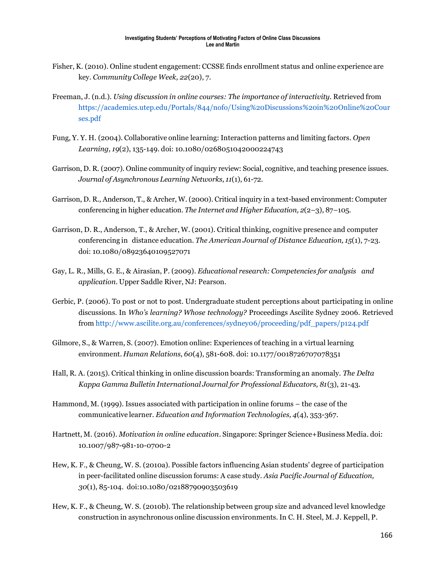- Fisher, K. (2010). Online student engagement: CCSSE finds enrollment status and online experience are key. *Community College Week, 22*(20), 7.
- Freeman, J. (n.d.). *Using discussion in online courses: The importance of interactivity.* Retrieved from [https://academics.utep.edu/Portals/844/nofo/Using%20Discussions%20in%20Online%20Cour](https://academics.utep.edu/Portals/844/nofo/Using%20Discussions%20in%20Online%20Courses.pdf) [ses.pdf](https://academics.utep.edu/Portals/844/nofo/Using%20Discussions%20in%20Online%20Courses.pdf)
- Fung, Y. Y. H. (2004). Collaborative online learning: Interaction patterns and limiting factors. *Open Learning, 19*(2), 135-149. doi: 10.1080/0268051042000224743
- Garrison, D. R. (2007). Online community of inquiry review: Social, cognitive, and teaching presence issues. *Journal of Asynchronous Learning Networks, 11*(1), 61-72.
- Garrison, D. R., Anderson, T., & Archer, W. (2000). Critical inquiry in a text-based environment: Computer conferencing in higher education. *The Internet and Higher Education, 2*(2–3), 87–105.
- Garrison, D. R., Anderson, T., & Archer, W. (2001). Critical thinking, cognitive presence and computer conferencing in distance education. *The American Journal of Distance Education, 15*(1), 7-23. doi: 10.1080/08923640109527071
- Gay, L. R., Mills, G. E., & Airasian, P. (2009). *Educational research: Competencies for analysis and application.* Upper Saddle River, NJ: Pearson.
- Gerbic, P. (2006). To post or not to post. Undergraduate student perceptions about participating in online discussions. In *Who's learning? Whose technology?* Proceedings Ascilite Sydney 2006. Retrieved from [http://www.ascilite.org.au/conferences/sydney06/proceeding/pdf\\_papers/p124.pdf](http://www.ascilite.org.au/conferences/sydney06/proceeding/pdf_papers/p124.pdf)
- Gilmore, S., & Warren, S. (2007). Emotion online: Experiences of teaching in a virtual learning environment. *Human Relations, 60*(4), 581-608. doi: 10.1177/0018726707078351
- Hall, R. A. (2015). Critical thinking in online discussion boards: Transforming an anomaly. *The Delta Kappa Gamma Bulletin International Journal for Professional Educators, 81*(3), 21-43.
- Hammond, M. (1999). Issues associated with participation in online forums the case of the communicative learner. *Education and Information Technologies, 4*(4), 353-367.
- Hartnett, M. (2016). *Motivation in online education*. Singapore: Springer Science+Business Media. doi: 10.1007/987-981-10-0700-2
- Hew, K. F., & Cheung, W. S. (2010a). Possible factors influencing Asian students' degree of participation in peer-facilitated online discussion forums: A case study. *Asia Pacific Journal of Education, 30*(1), 85-104. doi:10.1080/02188790903503619
- Hew, K. F., & Cheung, W. S. (2010b). The relationship between group size and advanced level knowledge construction in asynchronous online discussion environments.In C. H. Steel, M. J. Keppell, P.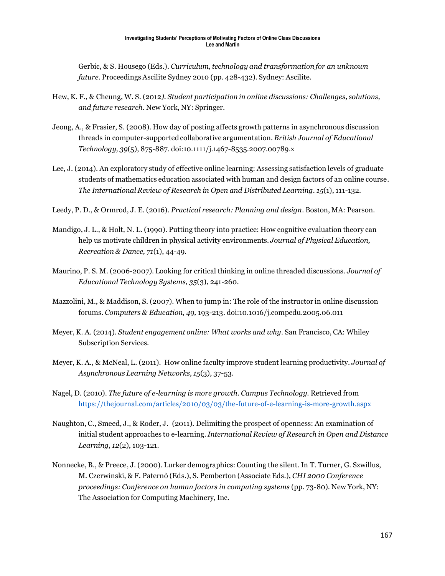Gerbic, & S. Housego (Eds.). *Curriculum, technology and transformation for an unknown future*. Proceedings Ascilite Sydney 2010 (pp. 428-432). Sydney: Ascilite.

- Hew, K. F., & Cheung, W. S. (2012*). Student participation in online discussions: Challenges, solutions, and future research*. New York, NY: Springer.
- Jeong, A., & Frasier, S. (2008). How day of posting affects growth patterns in asynchronous discussion threads in computer-supported collaborative argumentation. *British Journal of Educational Technology, 39*(5), 875-887. doi:10.1111/j.1467-8535.2007.00789.x
- Lee, J. (2014). An exploratory study of effective online learning: Assessing satisfaction levels of graduate students of mathematics education associated with human and design factors of an online course. *The International Review of Research in Open and Distributed Learning. 15*(1), 111-132.
- Leedy, P. D., & Ormrod, J. E. (2016). *Practical research: Planning and design*. Boston, MA: Pearson.
- Mandigo, J. L., & Holt, N. L. (1990). Putting theory into practice: How cognitive evaluation theory can help us motivate children in physical activity environments. *Journal of Physical Education, Recreation & Dance, 71*(1), 44-49.
- Maurino, P. S. M. (2006-2007). Looking for critical thinking in online threaded discussions. *Journal of Educational Technology Systems, 35*(3), 241-260.
- Mazzolini, M., & Maddison, S. (2007). When to jump in: The role of the instructor in online discussion forums. *Computers & Education, 49,* 193-213. doi:10.1016/j.compedu.2005.06.011
- Meyer, K. A. (2014). *Student engagement online: What works and why*. San Francisco, CA: Whiley Subscription Services.
- Meyer, K. A., & McNeal, L. (2011). How online faculty improve student learning productivity. *Journal of Asynchronous Learning Networks, 15*(3), 37-53.
- Nagel, D. (2010). *The future of e-learning is more growth*. *Campus Technology.* Retrieved from <https://thejournal.com/articles/2010/03/03/the-future-of-e-learning-is-more-growth.aspx>
- Naughton, C., Smeed, J., & Roder, J. (2011). Delimiting the prospect of openness: An examination of initial student approaches to e-learning.*International Review of Research in Open and Distance Learning, 12*(2), 103-121.
- Nonnecke, B., & Preece, J. (2000). Lurker demographics: Counting the silent. In T. Turner, G. Szwillus, M. Czerwinski, & F. Paternò (Eds.), S. Pemberton (Associate Eds.), *CHI 2000 Conference proceedings: Conference on human factors in computing systems* (pp. 73-80). New York, NY: The Association for Computing Machinery, Inc.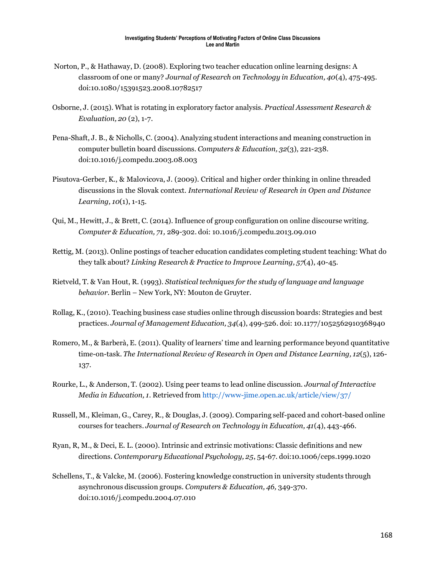- Norton, P., & Hathaway, D. (2008). Exploring two teacher education online learning designs: A classroom of one or many? *Journal of Research on Technology in Education, 40*(4), 475-495. doi:10.1080/15391523.2008.10782517
- Osborne, J. (2015). What is rotating in exploratory factor analysis. *Practical Assessment Research & Evaluation, 20* (2), 1-7.
- Pena-Shaft, J. B., & Nicholls, C. (2004). Analyzing student interactions and meaning construction in computer bulletin board discussions. *Computers & Education, 32*(3), 221-238. doi:10.1016/j.compedu.2003.08.003
- Pisutova-Gerber, K., & Malovicova, J. (2009). Critical and higher order thinking in online threaded discussions in the Slovak context. *International Review of Research in Open and Distance Learning, 10*(1), 1-15.
- Qui, M., Hewitt, J., & Brett, C. (2014). Influence of group configuration on online discourse writing. *Computer & Education, 71,* 289-302. doi: 10.1016/j.compedu.2013.09.010
- Rettig, M. (2013). Online postings of teacher education candidates completing student teaching: What do they talk about? *Linking Research & Practice to Improve Learning, 57*(4), 40-45.
- Rietveld, T. & Van Hout, R. (1993). *Statistical techniques for the study of language and language behavior*. Berlin – New York, NY: Mouton de Gruyter.
- Rollag, K., (2010). Teaching business case studies online through discussion boards: Strategies and best practices. *Journal of Management Education, 34*(4), 499-526. doi: 10.1177/1052562910368940
- Romero, M., & Barberà, E. (2011). Quality of learners' time and learning performance beyond quantitative time-on-task. *The International Review of Research in Open and Distance Learning, 12*(5), 126- 137.
- Rourke, L., & Anderson, T. (2002). Using peer teams to lead online discussion. *Journal of Interactive Media in Education, 1*. Retrieved from <http://www-jime.open.ac.uk/article/view/37/>
- Russell, M., Kleiman, G., Carey, R., & Douglas, J. (2009). Comparing self-paced and cohort-based online courses for teachers. *Journal of Research on Technology in Education, 41*(4), 443-466.
- Ryan, R, M., & Deci, E. L. (2000). Intrinsic and extrinsic motivations: Classic definitions and new directions. *Contemporary Educational Psychology, 25*, 54-67. [doi:10.1006/ceps.1999.1020](http://dx.doi.org.ezproxy.uta.edu/10.1006/ceps.1999.1020)
- Schellens, T., & Valcke, M. (2006). Fostering knowledge construction in university students through asynchronous discussion groups. *Computers & Education, 46,* 349-370. doi:10.1016/j.compedu.2004.07.010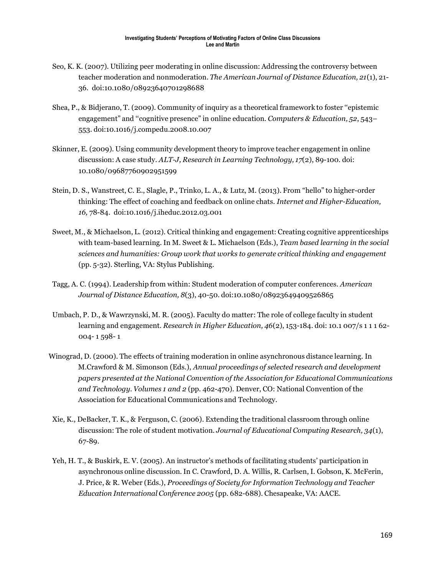- Seo, K. K. (2007). Utilizing peer moderating in online discussion: Addressing the controversy between teacher moderation and nonmoderation. *The American Journal of Distance Education, 21*(1), 21- 36. doi:10.1080/08923640701298688
- Shea, P., & Bidjerano, T. (2009). Community of inquiry as a theoretical framework to foster ''epistemic engagement" and ''cognitive presence" in online education. *Computers & Education, 52*, 543– 553. doi:10.1016/j.compedu.2008.10.007
- Skinner, E. (2009). Using community development theory to improve teacher engagement in online discussion: A case study. *ALT-J, Research in Learning Technology, 17*(2), 89-100. doi: 10.1080/09687760902951599
- Stein, D. S., Wanstreet, C. E., Slagle, P., Trinko, L. A., & Lutz, M. (2013). From "hello" to higher-order thinking: The effect of coaching and feedback on online chats. *Internet and Higher-Education, 16,* 78-84. doi:10.1016/j.iheduc.2012.03.001
- Sweet, M., & Michaelson, L. (2012). Critical thinking and engagement: Creating cognitive apprenticeships with team-based learning. In M. Sweet & L. Michaelson (Eds.), *Team based learning in the social sciences and humanities: Group work that works to generate critical thinking and engagement*  (pp. 5-32). Sterling, VA: Stylus Publishing.
- Tagg, A. C. (1994). Leadership from within: Student moderation of computer conferences. *American Journal of Distance Education, 8*(3), 40-50. doi:10.1080/08923649409526865
- Umbach, P. D., & Wawrzynski, M. R. (2005). Faculty do matter: The role of college faculty in student learning and engagement. *Research in Higher Education, 46*(2), 153-184. doi: 10.1 007/s 1 1 1 62- 004- 1 598- 1
- Winograd, D. (2000). The effects of training moderation in online asynchronous distance learning. In M.Crawford & M. Simonson (Eds.), *Annual proceedings of selected research and development papers presented at the National Convention of the Association for Educational Communications and Technology. Volumes 1 and 2* (pp. 462-470)*.* Denver, CO: National Convention of the Association for Educational Communications and Technology.
- Xie, K., DeBacker, T. K., & Ferguson, C. (2006). Extending the traditional classroom through online discussion: The role of student motivation. *Journal of Educational Computing Research, 34*(1), 67-89.
- Yeh, H. T., & Buskirk, E. V. (2005). An instructor's methods of facilitating students' participation in asynchronous online discussion.In C. Crawford, D. A. Willis, R. Carlsen, I. Gobson, K. McFerin, J. Price, & R. Weber (Eds.), *Proceedings of Society for Information Technology and Teacher Education International Conference 2005* (pp. 682-688). Chesapeake, VA: AACE.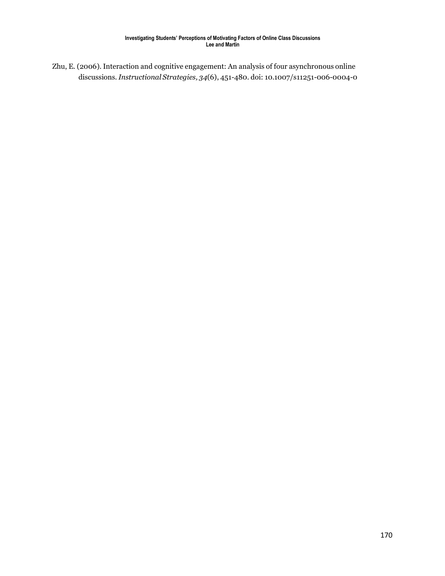Zhu, E. (2006). Interaction and cognitive engagement: An analysis of four asynchronous online discussions. *Instructional Strategies, 34*(6), 451-480. doi: 10.1007/s11251-006-0004-0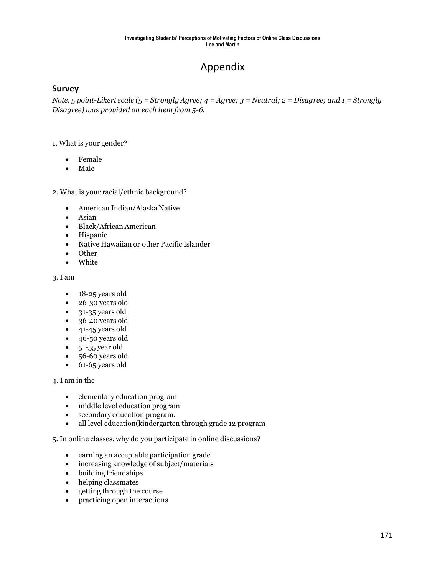# Appendix

### **Survey**

Note. 5 point-Likert scale (5 = Strongly Agree; 4 = Agree; 3 = Neutral; 2 = Disagree; and 1 = Strongly *Disagree) was provided on each item from 5-6.*

#### 1. What is your gender?

- Female
- Male

2. What is your racial/ethnic background?

- American Indian/Alaska Native
- Asian
- Black/African American
- Hispanic
- Native Hawaiian or other Pacific Islander
- Other
- White

3. I am

- 18-25 years old
- 26-30 years old
- 31-35 years old
- 36-40 years old
- 41-45 years old
- 46-50 years old
- $\bullet$  51-55 year old
- 56-60 years old
- $\bullet$  61-65 years old

#### 4. I am in the

- elementary education program
- middle level education program
- secondary education program.
- all level education(kindergarten through grade 12 program

#### 5. In online classes, why do you participate in online discussions?

- earning an acceptable participation grade
- increasing knowledge of subject/materials
- building friendships
- helping classmates
- getting through the course
- practicing open interactions